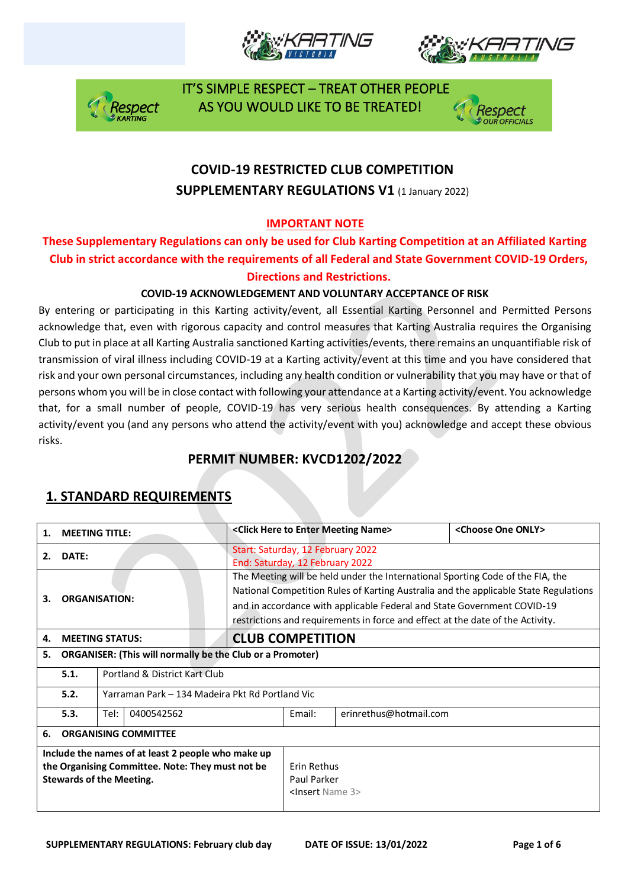







## **COVID-19 RESTRICTED CLUB COMPETITION SUPPLEMENTARY REGULATIONS V1 (1 January 2022)**

#### **IMPORTANT NOTE**

#### **These Supplementary Regulations can only be used for Club Karting Competition at an Affiliated Karting Club in strict accordance with the requirements of all Federal and State Government COVID-19 Orders, Directions and Restrictions.**

#### **COVID-19 ACKNOWLEDGEMENT AND VOLUNTARY ACCEPTANCE OF RISK**

By entering or participating in this Karting activity/event, all Essential Karting Personnel and Permitted Persons acknowledge that, even with rigorous capacity and control measures that Karting Australia requires the Organising Club to put in place at all Karting Australia sanctioned Karting activities/events, there remains an unquantifiable risk of transmission of viral illness including COVID-19 at a Karting activity/event at this time and you have considered that risk and your own personal circumstances, including any health condition or vulnerability that you may have or that of persons whom you will be in close contact with following your attendance at a Karting activity/event. You acknowledge that, for a small number of people, COVID-19 has very serious health consequences. By attending a Karting activity/event you (and any persons who attend the activity/event with you) acknowledge and accept these obvious risks.

### **PERMIT NUMBER: KVCD1202/2022**

| 1.                                                                                                                                        | <b>MEETING TITLE:</b>                                            |                                                 |                                                                                                                                                                                                                                                                                                                                     |                                                                      | <click enter="" here="" meeting="" name="" to=""></click> | <choose one="" only=""></choose> |  |
|-------------------------------------------------------------------------------------------------------------------------------------------|------------------------------------------------------------------|-------------------------------------------------|-------------------------------------------------------------------------------------------------------------------------------------------------------------------------------------------------------------------------------------------------------------------------------------------------------------------------------------|----------------------------------------------------------------------|-----------------------------------------------------------|----------------------------------|--|
| 2.                                                                                                                                        | DATE:                                                            |                                                 |                                                                                                                                                                                                                                                                                                                                     | Start: Saturday, 12 February 2022<br>End: Saturday, 12 February 2022 |                                                           |                                  |  |
| З.                                                                                                                                        | <b>ORGANISATION:</b>                                             |                                                 | The Meeting will be held under the International Sporting Code of the FIA, the<br>National Competition Rules of Karting Australia and the applicable State Regulations<br>and in accordance with applicable Federal and State Government COVID-19<br>restrictions and requirements in force and effect at the date of the Activity. |                                                                      |                                                           |                                  |  |
| 4.                                                                                                                                        | <b>MEETING STATUS:</b>                                           |                                                 |                                                                                                                                                                                                                                                                                                                                     | <b>CLUB COMPETITION</b>                                              |                                                           |                                  |  |
| 5.                                                                                                                                        | <b>ORGANISER: (This will normally be the Club or a Promoter)</b> |                                                 |                                                                                                                                                                                                                                                                                                                                     |                                                                      |                                                           |                                  |  |
|                                                                                                                                           | 5.1.                                                             | Portland & District Kart Club                   |                                                                                                                                                                                                                                                                                                                                     |                                                                      |                                                           |                                  |  |
|                                                                                                                                           | 5.2.                                                             | Yarraman Park – 134 Madeira Pkt Rd Portland Vic |                                                                                                                                                                                                                                                                                                                                     |                                                                      |                                                           |                                  |  |
|                                                                                                                                           | 5.3.                                                             | Tel:<br>0400542562                              |                                                                                                                                                                                                                                                                                                                                     |                                                                      | Email:                                                    | erinrethus@hotmail.com           |  |
| 6.                                                                                                                                        | <b>ORGANISING COMMITTEE</b>                                      |                                                 |                                                                                                                                                                                                                                                                                                                                     |                                                                      |                                                           |                                  |  |
| Include the names of at least 2 people who make up<br>the Organising Committee. Note: They must not be<br><b>Stewards of the Meeting.</b> |                                                                  |                                                 | Erin Rethus<br>Paul Parker<br><insert 3="" name=""></insert>                                                                                                                                                                                                                                                                        |                                                                      |                                                           |                                  |  |

### **1. STANDARD REQUIREMENTS**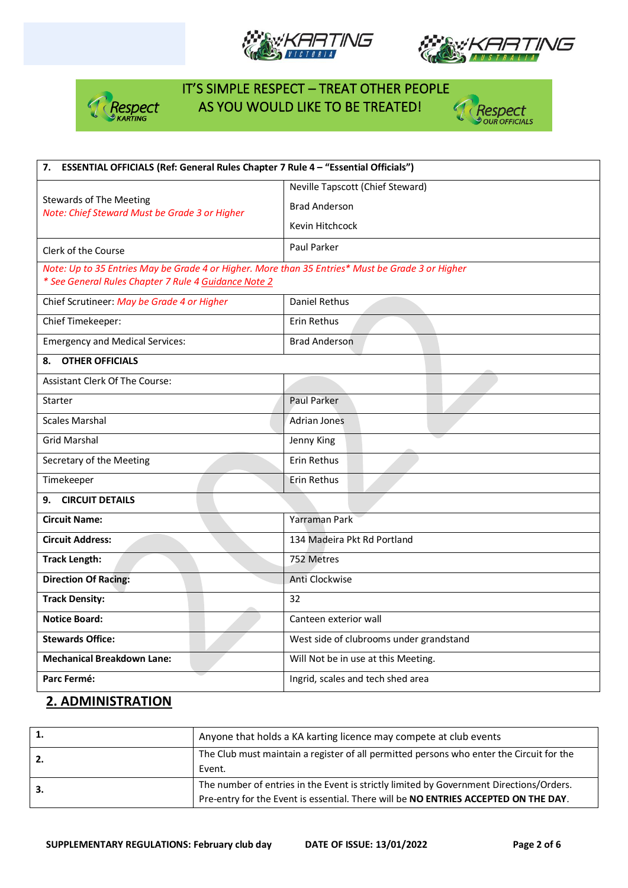







| ESSENTIAL OFFICIALS (Ref: General Rules Chapter 7 Rule 4 - "Essential Officials")<br>7.                                                                  |                                         |  |  |  |
|----------------------------------------------------------------------------------------------------------------------------------------------------------|-----------------------------------------|--|--|--|
|                                                                                                                                                          | Neville Tapscott (Chief Steward)        |  |  |  |
| <b>Stewards of The Meeting</b><br>Note: Chief Steward Must be Grade 3 or Higher                                                                          | <b>Brad Anderson</b>                    |  |  |  |
|                                                                                                                                                          | Kevin Hitchcock                         |  |  |  |
| Clerk of the Course                                                                                                                                      | Paul Parker                             |  |  |  |
| Note: Up to 35 Entries May be Grade 4 or Higher. More than 35 Entries* Must be Grade 3 or Higher<br>* See General Rules Chapter 7 Rule 4 Guidance Note 2 |                                         |  |  |  |
| Chief Scrutineer: May be Grade 4 or Higher                                                                                                               | Daniel Rethus                           |  |  |  |
| Chief Timekeeper:                                                                                                                                        | Erin Rethus                             |  |  |  |
| <b>Emergency and Medical Services:</b>                                                                                                                   | <b>Brad Anderson</b>                    |  |  |  |
| <b>OTHER OFFICIALS</b><br>8.                                                                                                                             |                                         |  |  |  |
| <b>Assistant Clerk Of The Course:</b>                                                                                                                    |                                         |  |  |  |
| Starter                                                                                                                                                  | <b>Paul Parker</b>                      |  |  |  |
| <b>Scales Marshal</b>                                                                                                                                    | <b>Adrian Jones</b>                     |  |  |  |
| <b>Grid Marshal</b>                                                                                                                                      | Jenny King                              |  |  |  |
| Secretary of the Meeting                                                                                                                                 | Erin Rethus                             |  |  |  |
| Timekeeper                                                                                                                                               | Erin Rethus                             |  |  |  |
| <b>CIRCUIT DETAILS</b><br>9.                                                                                                                             |                                         |  |  |  |
| <b>Circuit Name:</b>                                                                                                                                     | Yarraman Park                           |  |  |  |
| <b>Circuit Address:</b>                                                                                                                                  | 134 Madeira Pkt Rd Portland             |  |  |  |
| <b>Track Length:</b>                                                                                                                                     | 752 Metres                              |  |  |  |
| <b>Direction Of Racing:</b>                                                                                                                              | Anti Clockwise                          |  |  |  |
| <b>Track Density:</b>                                                                                                                                    | 32                                      |  |  |  |
| <b>Notice Board:</b>                                                                                                                                     | Canteen exterior wall                   |  |  |  |
| <b>Stewards Office:</b>                                                                                                                                  | West side of clubrooms under grandstand |  |  |  |
| <b>Mechanical Breakdown Lane:</b>                                                                                                                        | Will Not be in use at this Meeting.     |  |  |  |
| Parc Fermé:                                                                                                                                              | Ingrid, scales and tech shed area       |  |  |  |

### **2. ADMINISTRATION**

|     | Anyone that holds a KA karting licence may compete at club events                                                                                                              |
|-----|--------------------------------------------------------------------------------------------------------------------------------------------------------------------------------|
| -2. | The Club must maintain a register of all permitted persons who enter the Circuit for the<br>Event.                                                                             |
| -3. | The number of entries in the Event is strictly limited by Government Directions/Orders.<br>Pre-entry for the Event is essential. There will be NO ENTRIES ACCEPTED ON THE DAY. |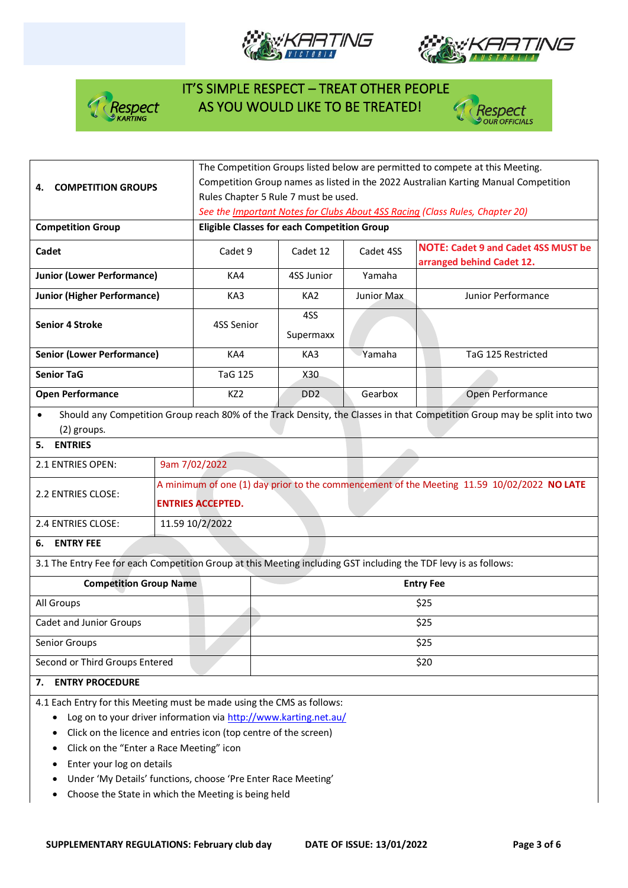







|                                                                                                                  |                           | The Competition Groups listed below are permitted to compete at this Meeting.              |                                                                                     |                                                                              |                                                                                                                          |  |  |  |
|------------------------------------------------------------------------------------------------------------------|---------------------------|--------------------------------------------------------------------------------------------|-------------------------------------------------------------------------------------|------------------------------------------------------------------------------|--------------------------------------------------------------------------------------------------------------------------|--|--|--|
| 4.                                                                                                               | <b>COMPETITION GROUPS</b> |                                                                                            | Competition Group names as listed in the 2022 Australian Karting Manual Competition |                                                                              |                                                                                                                          |  |  |  |
|                                                                                                                  |                           | Rules Chapter 5 Rule 7 must be used.                                                       |                                                                                     |                                                                              |                                                                                                                          |  |  |  |
|                                                                                                                  |                           |                                                                                            |                                                                                     | See the Important Notes for Clubs About 4SS Racing (Class Rules, Chapter 20) |                                                                                                                          |  |  |  |
| <b>Competition Group</b>                                                                                         |                           |                                                                                            | <b>Eligible Classes for each Competition Group</b>                                  |                                                                              |                                                                                                                          |  |  |  |
| Cadet                                                                                                            |                           | Cadet 9                                                                                    | Cadet 12                                                                            | Cadet 4SS                                                                    | <b>NOTE: Cadet 9 and Cadet 4SS MUST be</b>                                                                               |  |  |  |
| <b>Junior (Lower Performance)</b>                                                                                |                           | KA4                                                                                        | 4SS Junior                                                                          | Yamaha                                                                       | arranged behind Cadet 12.                                                                                                |  |  |  |
|                                                                                                                  |                           |                                                                                            |                                                                                     |                                                                              |                                                                                                                          |  |  |  |
| <b>Junior (Higher Performance)</b>                                                                               |                           | KA3                                                                                        | KA <sub>2</sub>                                                                     | Junior Max                                                                   | Junior Performance                                                                                                       |  |  |  |
| <b>Senior 4 Stroke</b>                                                                                           |                           | 4SS Senior                                                                                 | 4SS                                                                                 |                                                                              |                                                                                                                          |  |  |  |
|                                                                                                                  |                           |                                                                                            | Supermaxx                                                                           |                                                                              |                                                                                                                          |  |  |  |
| <b>Senior (Lower Performance)</b>                                                                                |                           | KA4                                                                                        | KA3                                                                                 | Yamaha                                                                       | TaG 125 Restricted                                                                                                       |  |  |  |
| <b>Senior TaG</b>                                                                                                |                           | <b>TaG 125</b>                                                                             | X30                                                                                 |                                                                              |                                                                                                                          |  |  |  |
| <b>Open Performance</b>                                                                                          |                           | KZ <sub>2</sub>                                                                            | D <sub>D</sub> <sub>2</sub>                                                         | Gearbox                                                                      | Open Performance                                                                                                         |  |  |  |
| $\bullet$                                                                                                        |                           |                                                                                            |                                                                                     |                                                                              | Should any Competition Group reach 80% of the Track Density, the Classes in that Competition Group may be split into two |  |  |  |
| (2) groups.                                                                                                      |                           |                                                                                            |                                                                                     |                                                                              |                                                                                                                          |  |  |  |
| <b>ENTRIES</b><br>5.                                                                                             |                           |                                                                                            |                                                                                     |                                                                              |                                                                                                                          |  |  |  |
| 2.1 ENTRIES OPEN:                                                                                                |                           | 9am 7/02/2022                                                                              |                                                                                     |                                                                              |                                                                                                                          |  |  |  |
| 2.2 ENTRIES CLOSE:                                                                                               |                           | A minimum of one (1) day prior to the commencement of the Meeting 11.59 10/02/2022 NO LATE |                                                                                     |                                                                              |                                                                                                                          |  |  |  |
|                                                                                                                  |                           | <b>ENTRIES ACCEPTED.</b>                                                                   |                                                                                     |                                                                              |                                                                                                                          |  |  |  |
| 2.4 ENTRIES CLOSE:                                                                                               |                           | 11.59 10/2/2022                                                                            |                                                                                     |                                                                              |                                                                                                                          |  |  |  |
| <b>ENTRY FEE</b><br>6.                                                                                           |                           |                                                                                            |                                                                                     |                                                                              |                                                                                                                          |  |  |  |
| 3.1 The Entry Fee for each Competition Group at this Meeting including GST including the TDF levy is as follows: |                           |                                                                                            |                                                                                     |                                                                              |                                                                                                                          |  |  |  |
| <b>Competition Group Name</b>                                                                                    |                           | <b>Entry Fee</b>                                                                           |                                                                                     |                                                                              |                                                                                                                          |  |  |  |
| All Groups                                                                                                       |                           |                                                                                            | \$25                                                                                |                                                                              |                                                                                                                          |  |  |  |
| <b>Cadet and Junior Groups</b>                                                                                   |                           |                                                                                            | \$25                                                                                |                                                                              |                                                                                                                          |  |  |  |
| Senior Groups                                                                                                    |                           | \$25                                                                                       |                                                                                     |                                                                              |                                                                                                                          |  |  |  |
| Second or Third Groups Entered                                                                                   |                           |                                                                                            |                                                                                     | \$20                                                                         |                                                                                                                          |  |  |  |
| <b>ENTRY PROCEDURE</b><br>7.                                                                                     |                           |                                                                                            |                                                                                     |                                                                              |                                                                                                                          |  |  |  |
| 4.1 Each Entry for this Meeting must be made using the CMS as follows:                                           |                           |                                                                                            |                                                                                     |                                                                              |                                                                                                                          |  |  |  |
| Log on to your driver information via http://www.karting.net.au/                                                 |                           |                                                                                            |                                                                                     |                                                                              |                                                                                                                          |  |  |  |
| Click on the licence and entries icon (top centre of the screen)                                                 |                           |                                                                                            |                                                                                     |                                                                              |                                                                                                                          |  |  |  |

- Click on the "Enter a Race Meeting" icon
- Enter your log on details
- Under 'My Details' functions, choose 'Pre Enter Race Meeting'
- Choose the State in which the Meeting is being held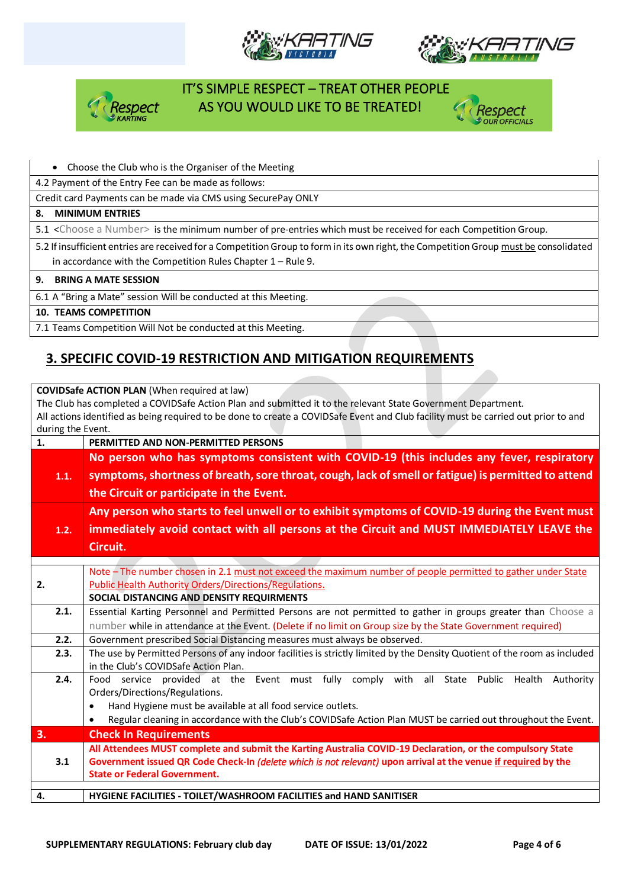







#### • Choose the Club who is the Organiser of the Meeting

4.2 Payment of the Entry Fee can be made as follows:

Credit card Payments can be made via CMS using SecurePay ONLY

#### **8. MINIMUM ENTRIES**

5.1 <Choose a Number> is the minimum number of pre-entries which must be received for each Competition Group.

5.2 If insufficient entries are received for a Competition Group to form in its own right, the Competition Group must be consolidated in accordance with the Competition Rules Chapter 1 – Rule 9.

**9. BRING A MATE SESSION**

6.1 A "Bring a Mate" session Will be conducted at this Meeting.

**10. TEAMS COMPETITION**

7.1 Teams Competition Will Not be conducted at this Meeting.

### **3. SPECIFIC COVID-19 RESTRICTION AND MITIGATION REQUIREMENTS**

**COVIDSafe ACTION PLAN** (When required at law) The Club has completed a COVIDSafe Action Plan and submitted it to the relevant State Government Department. All actions identified as being required to be done to create a COVIDSafe Event and Club facility must be carried out prior to and during the Event.

| 1.   | PERMITTED AND NON-PERMITTED PERSONS                                                                                         |  |  |  |  |
|------|-----------------------------------------------------------------------------------------------------------------------------|--|--|--|--|
|      | No person who has symptoms consistent with COVID-19 (this includes any fever, respiratory                                   |  |  |  |  |
| 1.1. | symptoms, shortness of breath, sore throat, cough, lack of smell or fatigue) is permitted to attend                         |  |  |  |  |
|      | the Circuit or participate in the Event.                                                                                    |  |  |  |  |
|      |                                                                                                                             |  |  |  |  |
|      | Any person who starts to feel unwell or to exhibit symptoms of COVID-19 during the Event must                               |  |  |  |  |
| 1.2. | immediately avoid contact with all persons at the Circuit and MUST IMMEDIATELY LEAVE the                                    |  |  |  |  |
|      | Circuit.                                                                                                                    |  |  |  |  |
|      |                                                                                                                             |  |  |  |  |
|      | Note - The number chosen in 2.1 must not exceed the maximum number of people permitted to gather under State                |  |  |  |  |
| 2.   | Public Health Authority Orders/Directions/Regulations.                                                                      |  |  |  |  |
|      | SOCIAL DISTANCING AND DENSITY REQUIRMENTS                                                                                   |  |  |  |  |
| 2.1. | Essential Karting Personnel and Permitted Persons are not permitted to gather in groups greater than Choose a               |  |  |  |  |
|      | number while in attendance at the Event. (Delete if no limit on Group size by the State Government required)                |  |  |  |  |
| 2.2. | Government prescribed Social Distancing measures must always be observed.                                                   |  |  |  |  |
| 2.3. | The use by Permitted Persons of any indoor facilities is strictly limited by the Density Quotient of the room as included   |  |  |  |  |
|      | in the Club's COVIDSafe Action Plan.                                                                                        |  |  |  |  |
| 2.4. | Food service provided at the Event must fully comply with all<br>State Public<br>Health<br>Authority                        |  |  |  |  |
|      | Orders/Directions/Regulations.                                                                                              |  |  |  |  |
|      | Hand Hygiene must be available at all food service outlets.                                                                 |  |  |  |  |
|      | Regular cleaning in accordance with the Club's COVIDSafe Action Plan MUST be carried out throughout the Event.<br>$\bullet$ |  |  |  |  |
| 3.   | <b>Check In Requirements</b>                                                                                                |  |  |  |  |
|      | All Attendees MUST complete and submit the Karting Australia COVID-19 Declaration, or the compulsory State                  |  |  |  |  |
| 3.1  | Government issued QR Code Check-In (delete which is not relevant) upon arrival at the venue if required by the              |  |  |  |  |
|      | <b>State or Federal Government.</b>                                                                                         |  |  |  |  |
| 4.   | HYGIENE FACILITIES - TOILET/WASHROOM FACILITIES and HAND SANITISER                                                          |  |  |  |  |
|      |                                                                                                                             |  |  |  |  |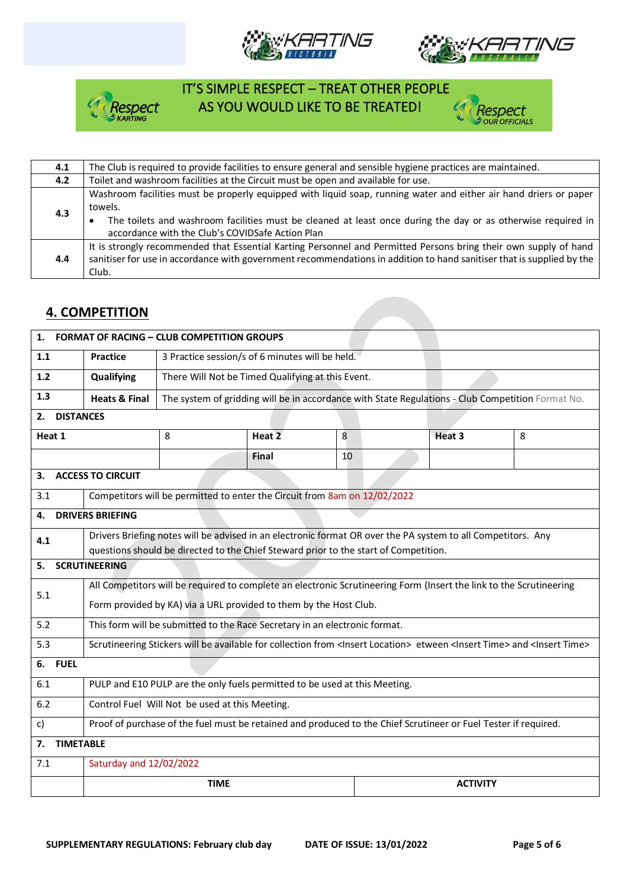







| 4.1 | The Club is required to provide facilities to ensure general and sensible hygiene practices are maintained.                                                                                                                                                                                      |
|-----|--------------------------------------------------------------------------------------------------------------------------------------------------------------------------------------------------------------------------------------------------------------------------------------------------|
| 4.2 | Toilet and washroom facilities at the Circuit must be open and available for use.                                                                                                                                                                                                                |
| 4.3 | Washroom facilities must be properly equipped with liquid soap, running water and either air hand driers or paper<br>towels.<br>The toilets and washroom facilities must be cleaned at least once during the day or as otherwise required in<br>accordance with the Club's COVIDSafe Action Plan |
| 4.4 | It is strongly recommended that Essential Karting Personnel and Permitted Persons bring their own supply of hand<br>sanitiser for use in accordance with government recommendations in addition to hand sanitiser that is supplied by the<br>Club.                                               |

#### **4. COMPETITION**

| <b>FORMAT OF RACING - CLUB COMPETITION GROUPS</b><br>1.                                                                                                                                                     |                                                                                                                                                           |                                                   |                                                                                                   |  |        |              |  |  |
|-------------------------------------------------------------------------------------------------------------------------------------------------------------------------------------------------------------|-----------------------------------------------------------------------------------------------------------------------------------------------------------|---------------------------------------------------|---------------------------------------------------------------------------------------------------|--|--------|--------------|--|--|
| 1.1                                                                                                                                                                                                         | <b>Practice</b>                                                                                                                                           | 3 Practice session/s of 6 minutes will be held.   |                                                                                                   |  |        |              |  |  |
| 1.2                                                                                                                                                                                                         | Qualifying                                                                                                                                                | There Will Not be Timed Qualifying at this Event. |                                                                                                   |  |        |              |  |  |
| 1.3                                                                                                                                                                                                         | <b>Heats &amp; Final</b>                                                                                                                                  |                                                   | The system of gridding will be in accordance with State Regulations - Club Competition Format No. |  |        |              |  |  |
| <b>DISTANCES</b><br>2.                                                                                                                                                                                      |                                                                                                                                                           |                                                   |                                                                                                   |  |        |              |  |  |
| Heat 1                                                                                                                                                                                                      |                                                                                                                                                           | 8                                                 | Heat 2<br>8                                                                                       |  | Heat 3 | $\mathbf{8}$ |  |  |
|                                                                                                                                                                                                             |                                                                                                                                                           |                                                   | Final<br>10                                                                                       |  |        |              |  |  |
| 3.                                                                                                                                                                                                          | <b>ACCESS TO CIRCUIT</b>                                                                                                                                  |                                                   |                                                                                                   |  |        |              |  |  |
| 3.1                                                                                                                                                                                                         |                                                                                                                                                           |                                                   | Competitors will be permitted to enter the Circuit from 8am on 12/02/2022                         |  |        |              |  |  |
| 4.                                                                                                                                                                                                          | <b>DRIVERS BRIEFING</b>                                                                                                                                   |                                                   |                                                                                                   |  |        |              |  |  |
| Drivers Briefing notes will be advised in an electronic format OR over the PA system to all Competitors. Any<br>4.1<br>questions should be directed to the Chief Steward prior to the start of Competition. |                                                                                                                                                           |                                                   |                                                                                                   |  |        |              |  |  |
| <b>SCRUTINEERING</b><br>5.                                                                                                                                                                                  |                                                                                                                                                           |                                                   |                                                                                                   |  |        |              |  |  |
| 5.1                                                                                                                                                                                                         | All Competitors will be required to complete an electronic Scrutineering Form (Insert the link to the Scrutineering                                       |                                                   |                                                                                                   |  |        |              |  |  |
|                                                                                                                                                                                                             | Form provided by KA) via a URL provided to them by the Host Club.                                                                                         |                                                   |                                                                                                   |  |        |              |  |  |
| 5.2                                                                                                                                                                                                         | This form will be submitted to the Race Secretary in an electronic format.                                                                                |                                                   |                                                                                                   |  |        |              |  |  |
| 5.3                                                                                                                                                                                                         | Scrutineering Stickers will be available for collection from <insert location=""> etween <insert time=""> and <insert time=""></insert></insert></insert> |                                                   |                                                                                                   |  |        |              |  |  |
| <b>FUEL</b><br>6.                                                                                                                                                                                           |                                                                                                                                                           |                                                   |                                                                                                   |  |        |              |  |  |
| PULP and E10 PULP are the only fuels permitted to be used at this Meeting.<br>6.1                                                                                                                           |                                                                                                                                                           |                                                   |                                                                                                   |  |        |              |  |  |
| Control Fuel Will Not be used at this Meeting.<br>6.2                                                                                                                                                       |                                                                                                                                                           |                                                   |                                                                                                   |  |        |              |  |  |
| c)                                                                                                                                                                                                          | Proof of purchase of the fuel must be retained and produced to the Chief Scrutineer or Fuel Tester if required.                                           |                                                   |                                                                                                   |  |        |              |  |  |
| <b>TIMETABLE</b><br>7.                                                                                                                                                                                      |                                                                                                                                                           |                                                   |                                                                                                   |  |        |              |  |  |
| 7.1                                                                                                                                                                                                         | Saturday and 12/02/2022                                                                                                                                   |                                                   |                                                                                                   |  |        |              |  |  |
|                                                                                                                                                                                                             | <b>TIME</b><br><b>ACTIVITY</b>                                                                                                                            |                                                   |                                                                                                   |  |        |              |  |  |